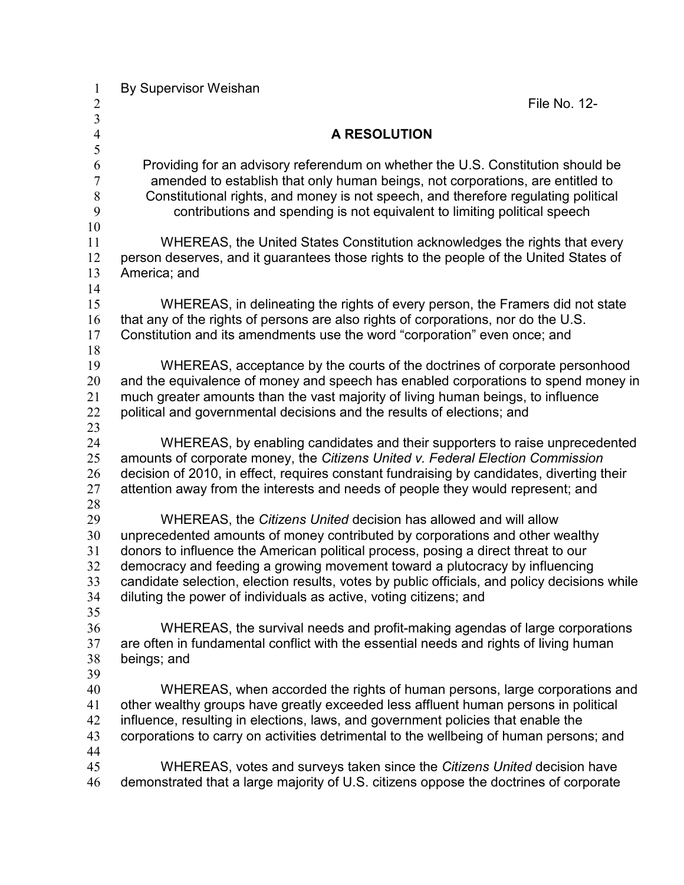| $\mathbf{1}$   | By Supervisor Weishan                                                                                                                                             |  |  |
|----------------|-------------------------------------------------------------------------------------------------------------------------------------------------------------------|--|--|
| $\overline{2}$ | File No. 12-                                                                                                                                                      |  |  |
| $\overline{3}$ |                                                                                                                                                                   |  |  |
| $\overline{4}$ | <b>A RESOLUTION</b>                                                                                                                                               |  |  |
| 5<br>6         | Providing for an advisory referendum on whether the U.S. Constitution should be                                                                                   |  |  |
| 7              | amended to establish that only human beings, not corporations, are entitled to                                                                                    |  |  |
| $\,$ $\,$      | Constitutional rights, and money is not speech, and therefore regulating political                                                                                |  |  |
| 9              | contributions and spending is not equivalent to limiting political speech                                                                                         |  |  |
| 10             |                                                                                                                                                                   |  |  |
| 11             | WHEREAS, the United States Constitution acknowledges the rights that every                                                                                        |  |  |
| 12             | person deserves, and it guarantees those rights to the people of the United States of                                                                             |  |  |
| 13             | America; and                                                                                                                                                      |  |  |
| 14             |                                                                                                                                                                   |  |  |
| 15             | WHEREAS, in delineating the rights of every person, the Framers did not state                                                                                     |  |  |
| 16             | that any of the rights of persons are also rights of corporations, nor do the U.S.                                                                                |  |  |
| 17             | Constitution and its amendments use the word "corporation" even once; and                                                                                         |  |  |
| 18             |                                                                                                                                                                   |  |  |
| 19             | WHEREAS, acceptance by the courts of the doctrines of corporate personhood                                                                                        |  |  |
| 20             | and the equivalence of money and speech has enabled corporations to spend money in                                                                                |  |  |
| 21             | much greater amounts than the vast majority of living human beings, to influence                                                                                  |  |  |
| 22             | political and governmental decisions and the results of elections; and                                                                                            |  |  |
| 23             |                                                                                                                                                                   |  |  |
| 24             | WHEREAS, by enabling candidates and their supporters to raise unprecedented                                                                                       |  |  |
| 25             | amounts of corporate money, the Citizens United v. Federal Election Commission                                                                                    |  |  |
| 26             | decision of 2010, in effect, requires constant fundraising by candidates, diverting their                                                                         |  |  |
| 27             | attention away from the interests and needs of people they would represent; and                                                                                   |  |  |
| 28             |                                                                                                                                                                   |  |  |
| 29<br>30       | WHEREAS, the Citizens United decision has allowed and will allow                                                                                                  |  |  |
| 31             | unprecedented amounts of money contributed by corporations and other wealthy<br>donors to influence the American political process, posing a direct threat to our |  |  |
| 32             | democracy and feeding a growing movement toward a plutocracy by influencing                                                                                       |  |  |
| 33             | candidate selection, election results, votes by public officials, and policy decisions while                                                                      |  |  |
| 34             | diluting the power of individuals as active, voting citizens; and                                                                                                 |  |  |
| 35             |                                                                                                                                                                   |  |  |
| 36             | WHEREAS, the survival needs and profit-making agendas of large corporations                                                                                       |  |  |
| 37             | are often in fundamental conflict with the essential needs and rights of living human                                                                             |  |  |
| 38             | beings; and                                                                                                                                                       |  |  |
| 39             |                                                                                                                                                                   |  |  |
| 40             | WHEREAS, when accorded the rights of human persons, large corporations and                                                                                        |  |  |
| 41             | other wealthy groups have greatly exceeded less affluent human persons in political                                                                               |  |  |
| 42             | influence, resulting in elections, laws, and government policies that enable the                                                                                  |  |  |
| 43             | corporations to carry on activities detrimental to the wellbeing of human persons; and                                                                            |  |  |
| 44             |                                                                                                                                                                   |  |  |
| 45             | WHEREAS, votes and surveys taken since the Citizens United decision have                                                                                          |  |  |
| 46             | demonstrated that a large majority of U.S. citizens oppose the doctrines of corporate                                                                             |  |  |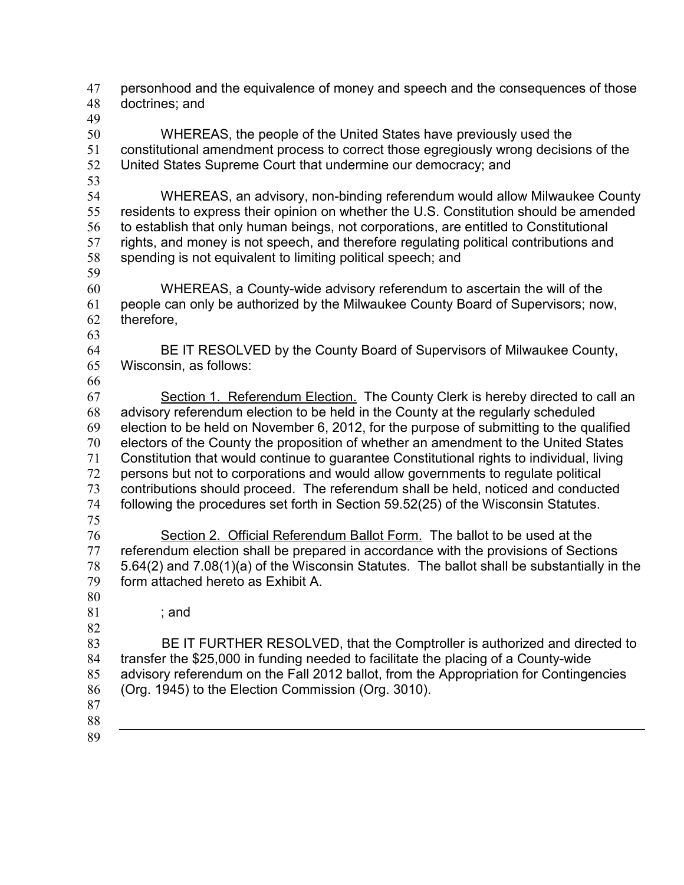personhood and the equivalence of money and speech and the consequences of those doctrines; and WHEREAS, the people of the United States have previously used the constitutional amendment process to correct those egregiously wrong decisions of the United States Supreme Court that undermine our democracy; and WHEREAS, an advisory, non-binding referendum would allow Milwaukee County residents to express their opinion on whether the U.S. Constitution should be amended to establish that only human beings, not corporations, are entitled to Constitutional rights, and money is not speech, and therefore regulating political contributions and spending is not equivalent to limiting political speech; and WHEREAS, a County-wide advisory referendum to ascertain the will of the people can only be authorized by the Milwaukee County Board of Supervisors; now, therefore, BE IT RESOLVED by the County Board of Supervisors of Milwaukee County, Wisconsin, as follows: Section 1. Referendum Election. The County Clerk is hereby directed to call an advisory referendum election to be held in the County at the regularly scheduled election to be held on November 6, 2012, for the purpose of submitting to the qualified electors of the County the proposition of whether an amendment to the United States Constitution that would continue to guarantee Constitutional rights to individual, living persons but not to corporations and would allow governments to regulate political contributions should proceed. The referendum shall be held, noticed and conducted following the procedures set forth in Section 59.52(25) of the Wisconsin Statutes. Section 2. Official Referendum Ballot Form. The ballot to be used at the referendum election shall be prepared in accordance with the provisions of Sections 5.64(2) and 7.08(1)(a) of the Wisconsin Statutes. The ballot shall be substantially in the form attached hereto as Exhibit A. ; and BE IT FURTHER RESOLVED, that the Comptroller is authorized and directed to transfer the \$25,000 in funding needed to facilitate the placing of a County-wide advisory referendum on the Fall 2012 ballot, from the Appropriation for Contingencies (Org. 1945) to the Election Commission (Org. 3010).